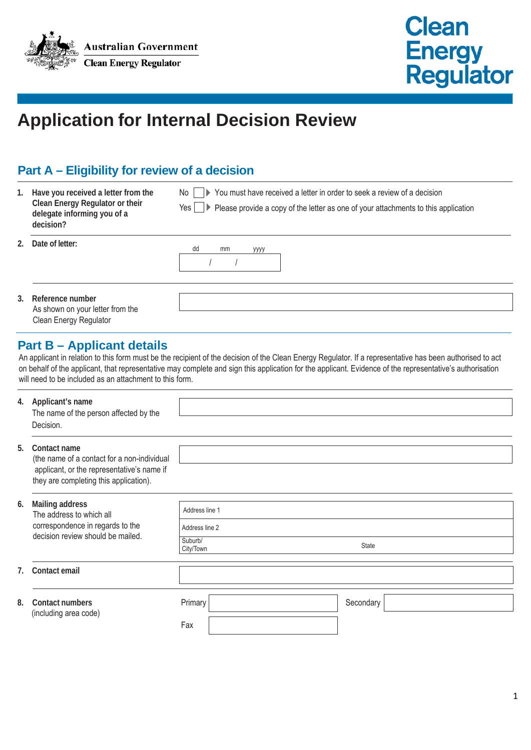



# **Application for Internal Decision Review**

# **Part A – Eligibility for review of a decision**

| 1. | Have you received a letter from the<br>Clean Energy Regulator or their<br>delegate informing you of a<br>decision? | ▶ You must have received a letter in order to seek a review of a decision<br>No l<br>$Yes \bigsqcup$ Please provide a copy of the letter as one of your attachments to this application |
|----|--------------------------------------------------------------------------------------------------------------------|-----------------------------------------------------------------------------------------------------------------------------------------------------------------------------------------|
|    | 2. Date of letter:                                                                                                 | dd<br>mm<br>уууу                                                                                                                                                                        |
|    | 3. Reference number<br>As shown on your letter from the<br>Clean Energy Regulator                                  |                                                                                                                                                                                         |

### **Part B – Applicant details**

An applicant in relation to this form must be the recipient of the decision of the Clean Energy Regulator. If a representative has been authorised to act on behalf of the applicant, that representative may complete and sign this application for the applicant. Evidence of the representative's authorisation will need to be included as an attachment to this form.

| 4. | Applicant's name<br>The name of the person affected by the<br>Decision.                                                                             |                      |  |           |
|----|-----------------------------------------------------------------------------------------------------------------------------------------------------|----------------------|--|-----------|
| 5. | Contact name<br>(the name of a contact for a non-individual<br>applicant, or the representative's name if<br>they are completing this application). |                      |  |           |
|    |                                                                                                                                                     |                      |  |           |
| 6. | Mailing address<br>The address to which all<br>correspondence in regards to the<br>decision review should be mailed.                                | Address line 1       |  |           |
|    |                                                                                                                                                     | Address line 2       |  |           |
|    |                                                                                                                                                     | Suburb/<br>City/Town |  | State     |
|    |                                                                                                                                                     |                      |  |           |
| 7. | Contact email                                                                                                                                       |                      |  |           |
|    |                                                                                                                                                     |                      |  |           |
| 8. | Contact numbers                                                                                                                                     | Primary              |  | Secondary |
|    | (including area code)                                                                                                                               | Fax                  |  |           |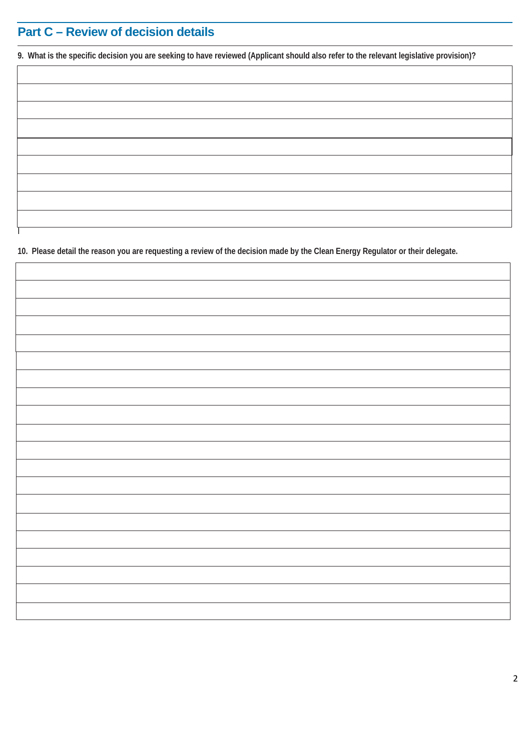# **Part C – Review of decision details**

I

**9. What is the specific decision you are seeking to have reviewed (Applicant should also refer to the relevant legislative provision)?**

**10. Please detail the reason you are requesting a review of the decision made by the Clean Energy Regulator or their delegate.**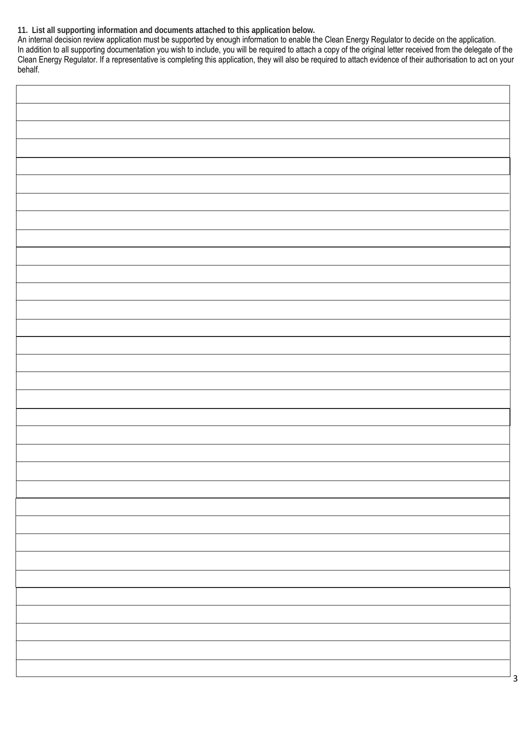#### **11. List all supporting information and documents attached to this application below.**

An internal decision review application must be supported by enough information to enable the Clean Energy Regulator to decide on the application. In addition to all supporting documentation you wish to include, you will be required to attach a copy of the original letter received from the delegate of the Clean Energy Regulator. If a representative is completing this application, they will also be required to attach evidence of their authorisation to act on your behalf.